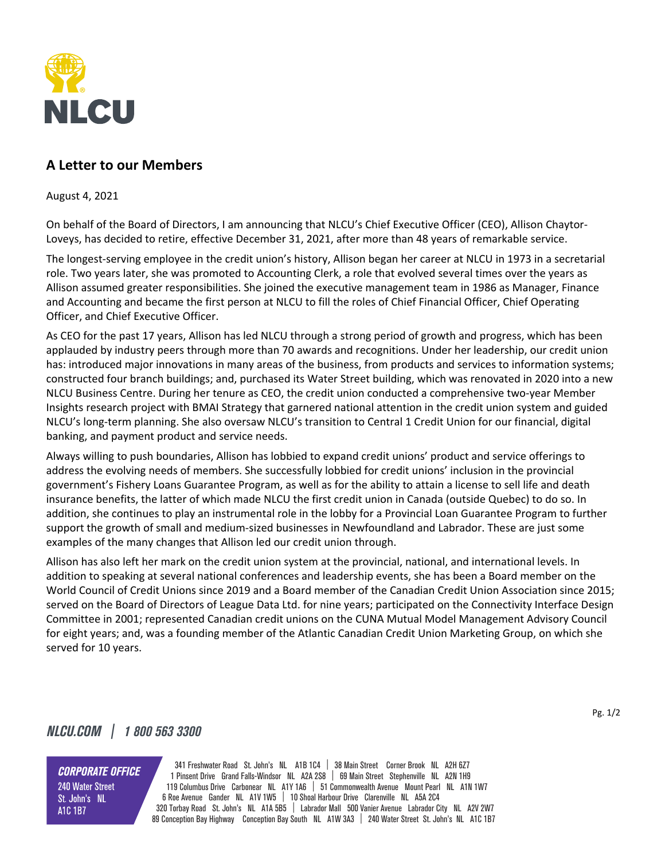

## **A Letter to our Members**

August 4, 2021

On behalf of the Board of Directors, I am announcing that NLCU's Chief Executive Officer (CEO), Allison Chaytor-Loveys, has decided to retire, effective December 31, 2021, after more than 48 years of remarkable service.

The longest-serving employee in the credit union's history, Allison began her career at NLCU in 1973 in a secretarial role. Two years later, she was promoted to Accounting Clerk, a role that evolved several times over the years as Allison assumed greater responsibilities. She joined the executive management team in 1986 as Manager, Finance and Accounting and became the first person at NLCU to fill the roles of Chief Financial Officer, Chief Operating Officer, and Chief Executive Officer.

As CEO for the past 17 years, Allison has led NLCU through a strong period of growth and progress, which has been applauded by industry peers through more than 70 awards and recognitions. Under her leadership, our credit union has: introduced major innovations in many areas of the business, from products and services to information systems; constructed four branch buildings; and, purchased its Water Street building, which was renovated in 2020 into a new NLCU Business Centre. During her tenure as CEO, the credit union conducted a comprehensive two-year Member Insights research project with BMAI Strategy that garnered national attention in the credit union system and guided NLCU's long-term planning. She also oversaw NLCU's transition to Central 1 Credit Union for our financial, digital banking, and payment product and service needs.

Always willing to push boundaries, Allison has lobbied to expand credit unions' product and service offerings to address the evolving needs of members. She successfully lobbied for credit unions' inclusion in the provincial government's Fishery Loans Guarantee Program, as well as for the ability to attain a license to sell life and death insurance benefits, the latter of which made NLCU the first credit union in Canada (outside Quebec) to do so. In addition, she continues to play an instrumental role in the lobby for a Provincial Loan Guarantee Program to further support the growth of small and medium-sized businesses in Newfoundland and Labrador. These are just some examples of the many changes that Allison led our credit union through.

Allison has also left her mark on the credit union system at the provincial, national, and international levels. In addition to speaking at several national conferences and leadership events, she has been a Board member on the World Council of Credit Unions since 2019 and a Board member of the Canadian Credit Union Association since 2015; served on the Board of Directors of League Data Ltd. for nine years; participated on the Connectivity Interface Design Committee in 2001; represented Canadian credit unions on the CUNA Mutual Model Management Advisory Council for eight years; and, was a founding member of the Atlantic Canadian Credit Union Marketing Group, on which she served for 10 years.

Pg. 1/2

## NLCU.COM | 1 800 563 3300

**CORPORATE OFFICE** 240 Water Street St. John's NL A1C 1B7

 341 Freshwater Road St. John's NL A1B 1C4 | 38 Main Street Corner Brook NL A2H 6Z7 1 Pinsent Drive Grand Falls-Windsor NL A2A 2S8 | 69 Main Street Stephenville NL A2N 1H9 119 Columbus Drive Carbonear NL A1Y 1A6 | 51 Commonwealth Avenue Mount Pearl NL A1N 1W7 6 Roe Avenue Gander NL A1V 1W5 | 10 Shoal Harbour Drive Clarenville NL A5A 2C4 320 Torbay Road St. John's NL A1A 5B5 | Labrador Mall 500 Vanier Avenue Labrador City NL A2V 2W7 89 Conception Bay Highway Conception Bay South NL A1W 3A3 | 240 Water Street St. John's NL A1C 1B7